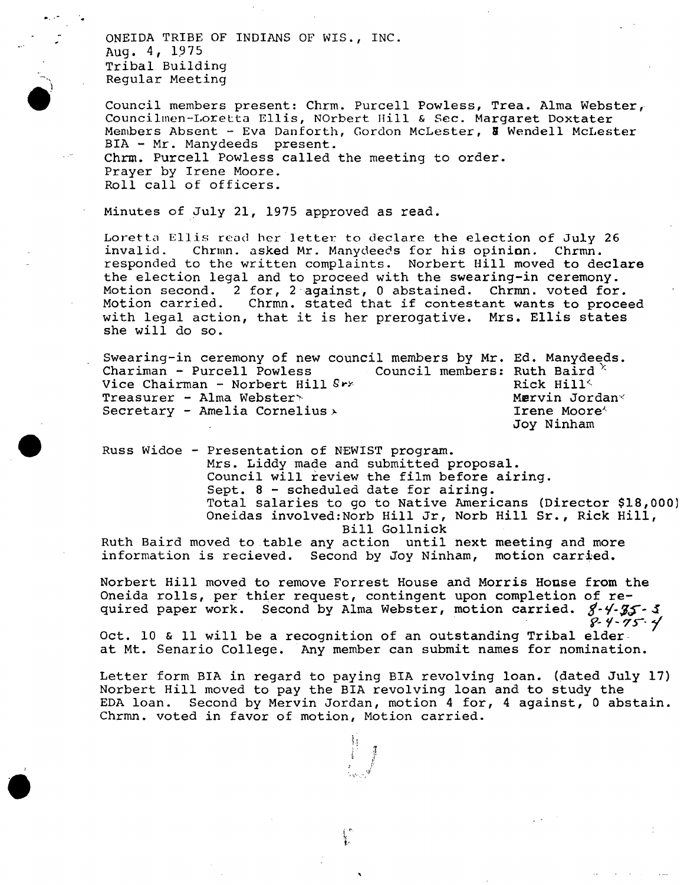ONEIDA TRIBE OF INDIANS OF WIS., INC. Aug. 4, 1975 Tribal Building Regular Meeting

Council members present: Chrm. Purcell Powless, Trea. Alma Webster, Councilinen-Loretta Ellis, NOrbert Hill & Sec. Margaret Doxtater Members Absent - Eva Danforth, Gordon McLester, & Wendell McLester BIA - Mr. Manydeeds present. Chrm. Purcell Powless called the meeting to order. Prayer by Irene Moore. Roll call of officers.

Minutes of July 21, 1975 approved as read.

Loretta Ellis read her letter to declare the election of July 26 invalid. Chrmn. asked Mr. Manydeeds for his opinion. Chrmn. chrmn. asked Mr. Manydeeds for his opinion. responded to the written complaints. Norbert Hill moved to declare the election legal and to proceed with the swearing-in ceremony. Motion second. 2 for, 2 against, 0 abstained. Chrmn. voted for. Motion carried. Chrmn. stated that if contestant wants to proceed with legal action, that it is her prerogative. Mrs. Ellis states she will do so.

Swearing-in ceremony of new council members by Mr. Ed. Manydeeds.<br>Chariman - Purcell Powless ... Council members: Ruth Baird  $\times$ Council members: Ruth Baird<br>Rick Hill Vice Chairman - Norbert Hill Srx (Research Martin Rick Hill Supervisor )<br>Preasurer - Alma Webster > (Research Martin Jordan ) Treasurer - Alma Webster<br>
Secretary - Amelia Cornelius Secretary - Amelia Cornelius  $\lambda$ Joy Ninhan

Russ Widoe - Presentation of NEWIST program. Mrs. Liddy made and submitted proposal. Council will review the film before airing. Sept. 8 - scheduled date for airing. Total salaries to go to Native Americans (Director \$18,000) Oneidas involved: Norb Hill Jr, Norb Hill Sr. Rick Hill, Bill Gollnick

Ruth Baird moved to table any action until next meeting and more information is recieved. Second by Joy Ninham, motion carried.

Norbert Hill moved to remove Forrest House and Morris House from the Oneida rolls, per thier request, contingent upon completion of required paper work. Second by Alma Webster, motion carried.  $3 - 4 - 35 - 3$ <br>8-4-75-4

Oct. 10 & 11 will be a recognition of an outstanding Tribal elder at Mt. Senario College. Any member can submit names for nomination.

Letter form BIA in regard to paying BIA revolving loan, (dated July 17) Norbert Hill moved to pay the BIA revolving loan and to study the EDA loan. Second by Mervin Jordan, motion 4 for, 4 against, 0 abstain. Chrmn. voted in favor of motion, Motion carried.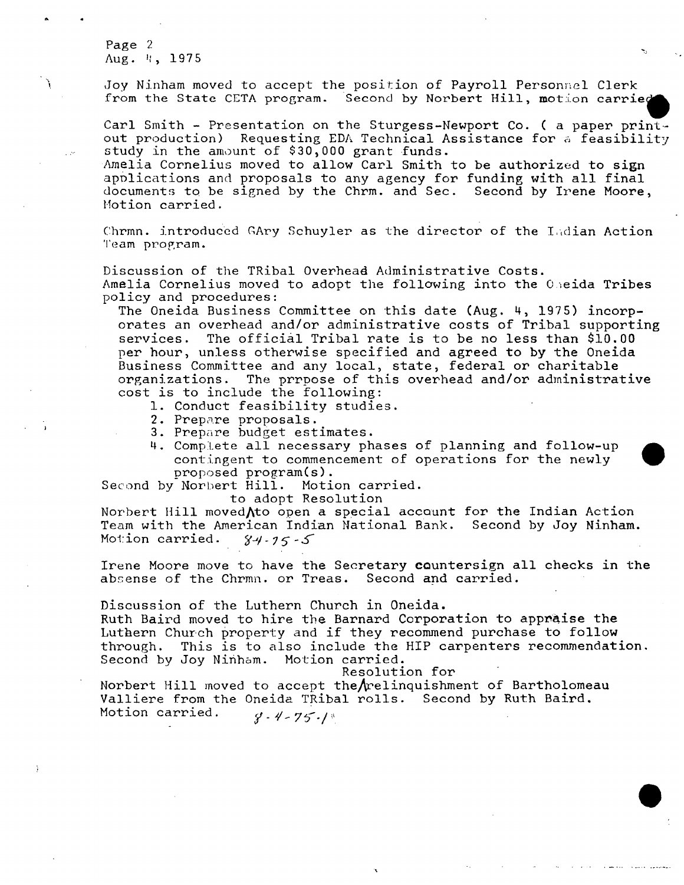Page 2 Aug. 4, 1975

À

Joy Ninham moved to accept the position of Payroll Personnel Clerk from the State CETA program. Second by Norbert Hill, motion carried

Carl Smith - Presentation on the Sturgess-Newport Co. ( a paper printout production) Requesting EDA Technical Assistance for a feasibility study in the amount of \$30,000 grant funds.

Amelia Cornelius moved to allow Carl Smith to be authorized to sign applications and proposals to any agency for funding with all final documents to be signed by the Chrm. and Sec. Second by Irene Moore, Motion carried.

Chrmn. introduced Gary Schuyler as the director of the Indian Action Team program.

Discussion of the Tribal Overhead Administrative Costs. Amelia Cornelius moved to adopt the following into the Oneida Tribes policy and procedures:

The Oneida Business Committee on this date (Aug. 4, 1975) incorporates an overhead and/or administrative costs of Tribal supporting services. The official Tribal rate is to be no less than \$10.00 per hour, unless otherwise specified and agreed to by the Oneida Business Committee and any local, state, federal or charitable organizations. The prrpose of this overhead and/or administrative cost is to include the following:

- 1. Conduct feasibility studies.
- 2. Prepare proposals.
- 3. Prepare budget estimates.
- 4. Complete all necessary phases of planning and follow-up contingent to commencement of operations for the newly proposed program(s).<br>Morbert Hill. Motion carried.

Second by Norbert Hill.

to adopt Resolution

Norbert Hill moved  $\Lambda$ to open a special account for the Indian Action Team with the American Indian National Bank. Second by Joy Ninham. Motion carried.  $84 - 75 - 5$ 

Irene Moore move to have the Secretary countersign all checks in the absense of the Chrmn. or Treas. Second and carried.

Discussion of the Luthern Church in Oneida.

Ruth Baird moved to hire the Barnard Corporation to appraise the Luthern Church property and if they recommend purchase to follow through. This is to also include the HIP carpenters recommendation. Second by Joy Ninham. Motion carried.

Resolution for

Norbert Hill moved to accept the relinquishment of Bartholomeau Valliere from the Oneida TRibal rolls. Second by Ruth Baird. Motion carried.  $8 - 4 - 75 - 1$